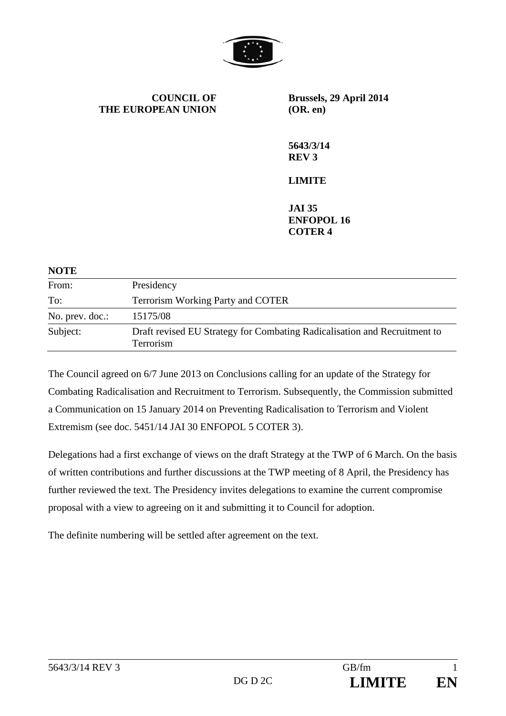

**COUNCIL OF THE EUROPEAN UNION** **Brussels, 29 April 2014 (OR. en)** 

**5643/3/14 REV 3** 

## **LIMITE**

**JAI 35 ENFOPOL 16 COTER 4** 

| <b>NOTE</b>     |                                                                                        |
|-----------------|----------------------------------------------------------------------------------------|
| From:           | Presidency                                                                             |
| To:             | <b>Terrorism Working Party and COTER</b>                                               |
| No. prev. doc.: | 15175/08                                                                               |
| Subject:        | Draft revised EU Strategy for Combating Radicalisation and Recruitment to<br>Terrorism |

The Council agreed on 6/7 June 2013 on Conclusions calling for an update of the Strategy for Combating Radicalisation and Recruitment to Terrorism. Subsequently, the Commission submitted a Communication on 15 January 2014 on Preventing Radicalisation to Terrorism and Violent Extremism (see doc. 5451/14 JAI 30 ENFOPOL 5 COTER 3).

Delegations had a first exchange of views on the draft Strategy at the TWP of 6 March. On the basis of written contributions and further discussions at the TWP meeting of 8 April, the Presidency has further reviewed the text. The Presidency invites delegations to examine the current compromise proposal with a view to agreeing on it and submitting it to Council for adoption.

The definite numbering will be settled after agreement on the text.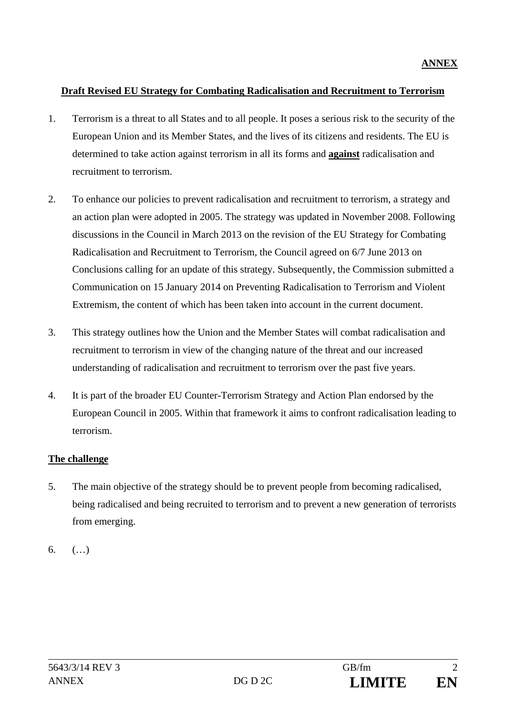### **Draft Revised EU Strategy for Combating Radicalisation and Recruitment to Terrorism**

- 1. Terrorism is a threat to all States and to all people. It poses a serious risk to the security of the European Union and its Member States, and the lives of its citizens and residents. The EU is determined to take action against terrorism in all its forms and **against** radicalisation and recruitment to terrorism.
- 2. To enhance our policies to prevent radicalisation and recruitment to terrorism, a strategy and an action plan were adopted in 2005. The strategy was updated in November 2008. Following discussions in the Council in March 2013 on the revision of the EU Strategy for Combating Radicalisation and Recruitment to Terrorism, the Council agreed on 6/7 June 2013 on Conclusions calling for an update of this strategy. Subsequently, the Commission submitted a Communication on 15 January 2014 on Preventing Radicalisation to Terrorism and Violent Extremism, the content of which has been taken into account in the current document.
- 3. This strategy outlines how the Union and the Member States will combat radicalisation and recruitment to terrorism in view of the changing nature of the threat and our increased understanding of radicalisation and recruitment to terrorism over the past five years.
- 4. It is part of the broader EU Counter-Terrorism Strategy and Action Plan endorsed by the European Council in 2005. Within that framework it aims to confront radicalisation leading to terrorism.

## **The challenge**

- 5. The main objective of the strategy should be to prevent people from becoming radicalised, being radicalised and being recruited to terrorism and to prevent a new generation of terrorists from emerging.
- 6. (…)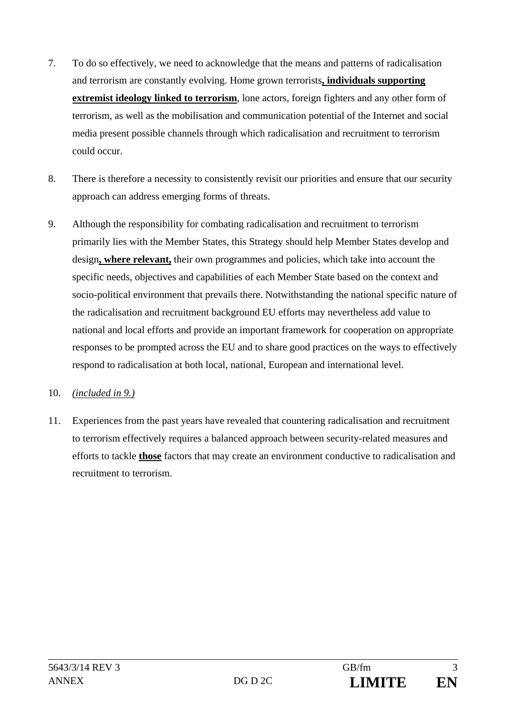- 7. To do so effectively, we need to acknowledge that the means and patterns of radicalisation and terrorism are constantly evolving. Home grown terrorists**, individuals supporting extremist ideology linked to terrorism**, lone actors, foreign fighters and any other form of terrorism, as well as the mobilisation and communication potential of the Internet and social media present possible channels through which radicalisation and recruitment to terrorism could occur.
- 8. There is therefore a necessity to consistently revisit our priorities and ensure that our security approach can address emerging forms of threats.
- 9. Although the responsibility for combating radicalisation and recruitment to terrorism primarily lies with the Member States, this Strategy should help Member States develop and design**, where relevant,** their own programmes and policies, which take into account the specific needs, objectives and capabilities of each Member State based on the context and socio-political environment that prevails there. Notwithstanding the national specific nature of the radicalisation and recruitment background EU efforts may nevertheless add value to national and local efforts and provide an important framework for cooperation on appropriate responses to be prompted across the EU and to share good practices on the ways to effectively respond to radicalisation at both local, national, European and international level.

### 10. *(included in 9.)*

11. Experiences from the past years have revealed that countering radicalisation and recruitment to terrorism effectively requires a balanced approach between security-related measures and efforts to tackle **those** factors that may create an environment conductive to radicalisation and recruitment to terrorism.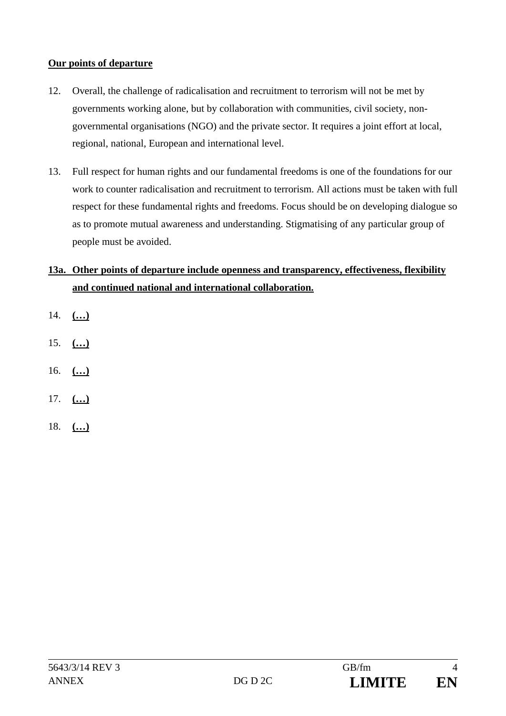## **Our points of departure**

- 12. Overall, the challenge of radicalisation and recruitment to terrorism will not be met by governments working alone, but by collaboration with communities, civil society, nongovernmental organisations (NGO) and the private sector. It requires a joint effort at local, regional, national, European and international level.
- 13. Full respect for human rights and our fundamental freedoms is one of the foundations for our work to counter radicalisation and recruitment to terrorism. All actions must be taken with full respect for these fundamental rights and freedoms. Focus should be on developing dialogue so as to promote mutual awareness and understanding. Stigmatising of any particular group of people must be avoided.

# **13a. Other points of departure include openness and transparency, effectiveness, flexibility and continued national and international collaboration.**

- 14. **(…)**
- 15. **(…)**
- 16. **(…)**
- 17. **(…)**
- 18. **(…)**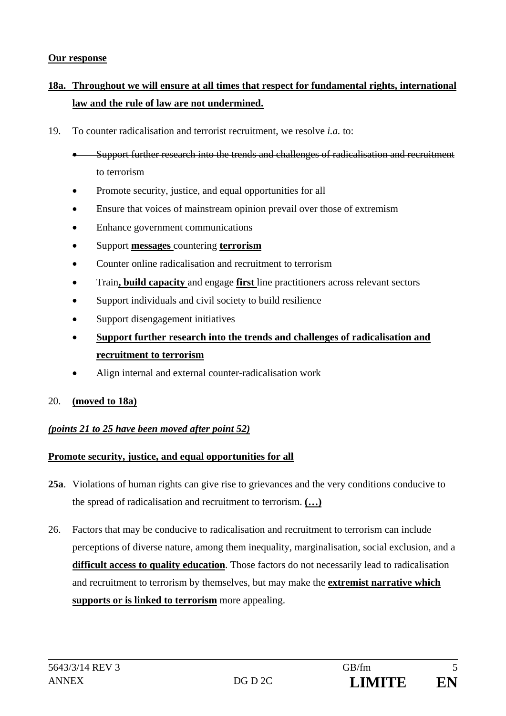#### **Our response**

# **18a. Throughout we will ensure at all times that respect for fundamental rights, international law and the rule of law are not undermined.**

- 19. To counter radicalisation and terrorist recruitment, we resolve *i.a.* to:
	- Support further research into the trends and challenges of radicalisation and recruitment to terrorism
	- Promote security, justice, and equal opportunities for all
	- Ensure that voices of mainstream opinion prevail over those of extremism
	- Enhance government communications
	- Support **messages** countering **terrorism**
	- Counter online radicalisation and recruitment to terrorism
	- Train**, build capacity** and engage **first** line practitioners across relevant sectors
	- Support individuals and civil society to build resilience
	- Support disengagement initiatives
	- **Support further research into the trends and challenges of radicalisation and recruitment to terrorism**
	- Align internal and external counter-radicalisation work
- 20. **(moved to 18a)**

### *(points 21 to 25 have been moved after point 52)*

#### **Promote security, justice, and equal opportunities for all**

- **25a**. Violations of human rights can give rise to grievances and the very conditions conducive to the spread of radicalisation and recruitment to terrorism. **(…)**
- 26. Factors that may be conducive to radicalisation and recruitment to terrorism can include perceptions of diverse nature, among them inequality, marginalisation, social exclusion, and a **difficult access to quality education**. Those factors do not necessarily lead to radicalisation and recruitment to terrorism by themselves, but may make the **extremist narrative which supports or is linked to terrorism** more appealing.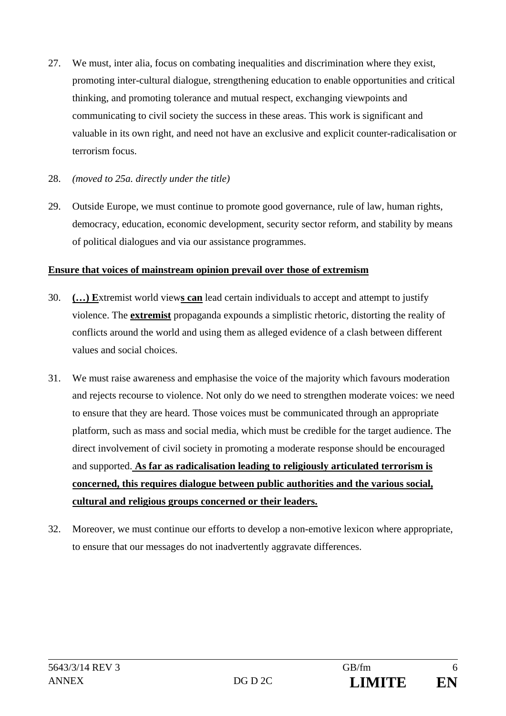- 27. We must, inter alia, focus on combating inequalities and discrimination where they exist, promoting inter-cultural dialogue, strengthening education to enable opportunities and critical thinking, and promoting tolerance and mutual respect, exchanging viewpoints and communicating to civil society the success in these areas. This work is significant and valuable in its own right, and need not have an exclusive and explicit counter-radicalisation or terrorism focus.
- 28. *(moved to 25a. directly under the title)*
- 29. Outside Europe, we must continue to promote good governance, rule of law, human rights, democracy, education, economic development, security sector reform, and stability by means of political dialogues and via our assistance programmes.

### **Ensure that voices of mainstream opinion prevail over those of extremism**

- 30. **(…) E**xtremist world view**s can** lead certain individuals to accept and attempt to justify violence. The **extremist** propaganda expounds a simplistic rhetoric, distorting the reality of conflicts around the world and using them as alleged evidence of a clash between different values and social choices.
- 31. We must raise awareness and emphasise the voice of the majority which favours moderation and rejects recourse to violence. Not only do we need to strengthen moderate voices: we need to ensure that they are heard. Those voices must be communicated through an appropriate platform, such as mass and social media, which must be credible for the target audience. The direct involvement of civil society in promoting a moderate response should be encouraged and supported. **As far as radicalisation leading to religiously articulated terrorism is concerned, this requires dialogue between public authorities and the various social, cultural and religious groups concerned or their leaders.**
- 32. Moreover, we must continue our efforts to develop a non-emotive lexicon where appropriate, to ensure that our messages do not inadvertently aggravate differences.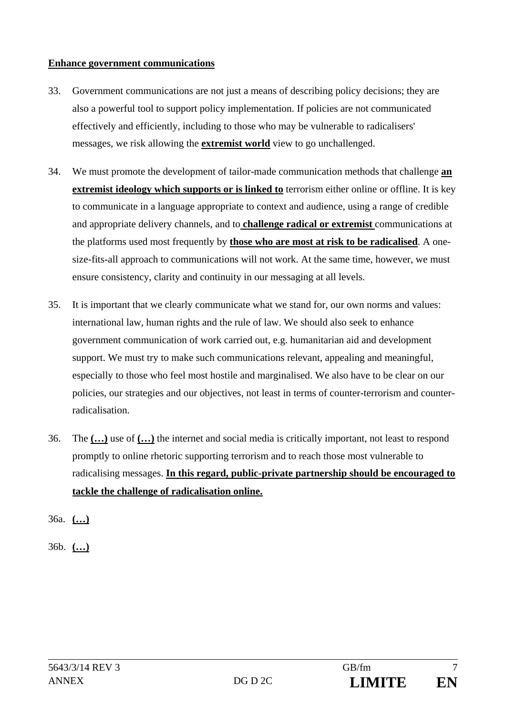### **Enhance government communications**

- 33. Government communications are not just a means of describing policy decisions; they are also a powerful tool to support policy implementation. If policies are not communicated effectively and efficiently, including to those who may be vulnerable to radicalisers' messages, we risk allowing the **extremist world** view to go unchallenged.
- 34. We must promote the development of tailor-made communication methods that challenge **an extremist ideology which supports or is linked to** terrorism either online or offline. It is key to communicate in a language appropriate to context and audience, using a range of credible and appropriate delivery channels, and to **challenge radical or extremist** communications at the platforms used most frequently by **those who are most at risk to be radicalised**. A onesize-fits-all approach to communications will not work. At the same time, however, we must ensure consistency, clarity and continuity in our messaging at all levels.
- 35. It is important that we clearly communicate what we stand for, our own norms and values: international law, human rights and the rule of law. We should also seek to enhance government communication of work carried out, e.g. humanitarian aid and development support. We must try to make such communications relevant, appealing and meaningful, especially to those who feel most hostile and marginalised. We also have to be clear on our policies, our strategies and our objectives, not least in terms of counter-terrorism and counterradicalisation.
- 36. The **(…)** use of **(…)** the internet and social media is critically important, not least to respond promptly to online rhetoric supporting terrorism and to reach those most vulnerable to radicalising messages. **In this regard, public-private partnership should be encouraged to tackle the challenge of radicalisation online.**
- 36a. **(…)**
- 36b. **(…)**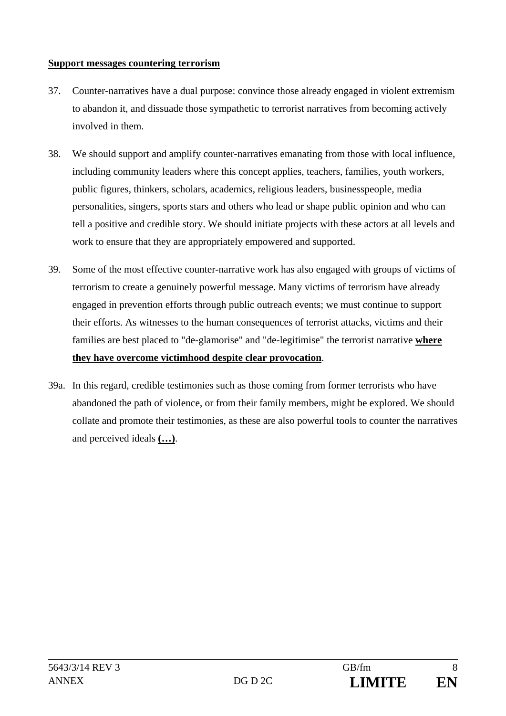#### **Support messages countering terrorism**

- 37. Counter-narratives have a dual purpose: convince those already engaged in violent extremism to abandon it, and dissuade those sympathetic to terrorist narratives from becoming actively involved in them.
- 38. We should support and amplify counter-narratives emanating from those with local influence, including community leaders where this concept applies, teachers, families, youth workers, public figures, thinkers, scholars, academics, religious leaders, businesspeople, media personalities, singers, sports stars and others who lead or shape public opinion and who can tell a positive and credible story. We should initiate projects with these actors at all levels and work to ensure that they are appropriately empowered and supported.
- 39. Some of the most effective counter-narrative work has also engaged with groups of victims of terrorism to create a genuinely powerful message. Many victims of terrorism have already engaged in prevention efforts through public outreach events; we must continue to support their efforts. As witnesses to the human consequences of terrorist attacks, victims and their families are best placed to "de-glamorise" and "de-legitimise" the terrorist narrative **where they have overcome victimhood despite clear provocation**.
- 39a. In this regard, credible testimonies such as those coming from former terrorists who have abandoned the path of violence, or from their family members, might be explored. We should collate and promote their testimonies, as these are also powerful tools to counter the narratives and perceived ideals **(…)**.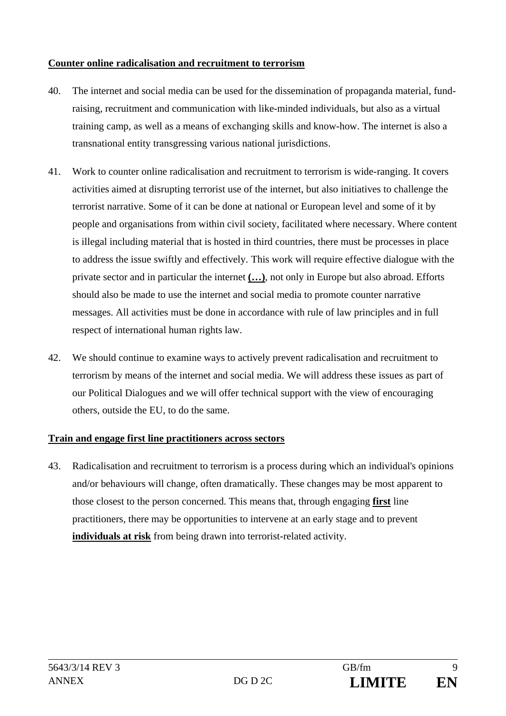### **Counter online radicalisation and recruitment to terrorism**

- 40. The internet and social media can be used for the dissemination of propaganda material, fundraising, recruitment and communication with like-minded individuals, but also as a virtual training camp, as well as a means of exchanging skills and know-how. The internet is also a transnational entity transgressing various national jurisdictions.
- 41. Work to counter online radicalisation and recruitment to terrorism is wide-ranging. It covers activities aimed at disrupting terrorist use of the internet, but also initiatives to challenge the terrorist narrative. Some of it can be done at national or European level and some of it by people and organisations from within civil society, facilitated where necessary. Where content is illegal including material that is hosted in third countries, there must be processes in place to address the issue swiftly and effectively. This work will require effective dialogue with the private sector and in particular the internet **(…)**, not only in Europe but also abroad. Efforts should also be made to use the internet and social media to promote counter narrative messages. All activities must be done in accordance with rule of law principles and in full respect of international human rights law.
- 42. We should continue to examine ways to actively prevent radicalisation and recruitment to terrorism by means of the internet and social media. We will address these issues as part of our Political Dialogues and we will offer technical support with the view of encouraging others, outside the EU, to do the same.

## **Train and engage first line practitioners across sectors**

43. Radicalisation and recruitment to terrorism is a process during which an individual's opinions and/or behaviours will change, often dramatically. These changes may be most apparent to those closest to the person concerned. This means that, through engaging **first** line practitioners, there may be opportunities to intervene at an early stage and to prevent **individuals at risk** from being drawn into terrorist-related activity.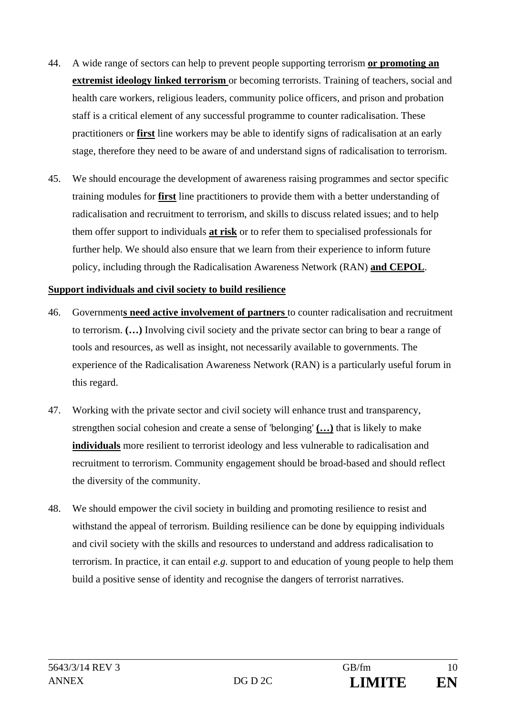- 44. A wide range of sectors can help to prevent people supporting terrorism **or promoting an extremist ideology linked terrorism** or becoming terrorists. Training of teachers, social and health care workers, religious leaders, community police officers, and prison and probation staff is a critical element of any successful programme to counter radicalisation. These practitioners or **first** line workers may be able to identify signs of radicalisation at an early stage, therefore they need to be aware of and understand signs of radicalisation to terrorism.
- 45. We should encourage the development of awareness raising programmes and sector specific training modules for **first** line practitioners to provide them with a better understanding of radicalisation and recruitment to terrorism, and skills to discuss related issues; and to help them offer support to individuals **at risk** or to refer them to specialised professionals for further help. We should also ensure that we learn from their experience to inform future policy, including through the Radicalisation Awareness Network (RAN) **and CEPOL**.

#### **Support individuals and civil society to build resilience**

- 46. Government**s need active involvement of partners** to counter radicalisation and recruitment to terrorism. **(…)** Involving civil society and the private sector can bring to bear a range of tools and resources, as well as insight, not necessarily available to governments. The experience of the Radicalisation Awareness Network (RAN) is a particularly useful forum in this regard.
- 47. Working with the private sector and civil society will enhance trust and transparency, strengthen social cohesion and create a sense of 'belonging' **(…)** that is likely to make **individuals** more resilient to terrorist ideology and less vulnerable to radicalisation and recruitment to terrorism. Community engagement should be broad-based and should reflect the diversity of the community.
- 48. We should empower the civil society in building and promoting resilience to resist and withstand the appeal of terrorism. Building resilience can be done by equipping individuals and civil society with the skills and resources to understand and address radicalisation to terrorism. In practice, it can entail *e.g.* support to and education of young people to help them build a positive sense of identity and recognise the dangers of terrorist narratives.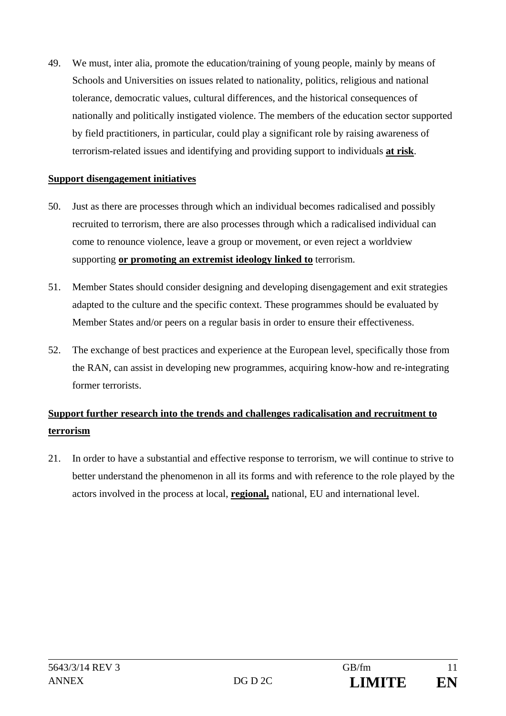49. We must, inter alia, promote the education/training of young people, mainly by means of Schools and Universities on issues related to nationality, politics, religious and national tolerance, democratic values, cultural differences, and the historical consequences of nationally and politically instigated violence. The members of the education sector supported by field practitioners, in particular, could play a significant role by raising awareness of terrorism-related issues and identifying and providing support to individuals **at risk**.

#### **Support disengagement initiatives**

- 50. Just as there are processes through which an individual becomes radicalised and possibly recruited to terrorism, there are also processes through which a radicalised individual can come to renounce violence, leave a group or movement, or even reject a worldview supporting **or promoting an extremist ideology linked to** terrorism.
- 51. Member States should consider designing and developing disengagement and exit strategies adapted to the culture and the specific context. These programmes should be evaluated by Member States and/or peers on a regular basis in order to ensure their effectiveness.
- 52. The exchange of best practices and experience at the European level, specifically those from the RAN, can assist in developing new programmes, acquiring know-how and re-integrating former terrorists.

# **Support further research into the trends and challenges radicalisation and recruitment to terrorism**

21. In order to have a substantial and effective response to terrorism, we will continue to strive to better understand the phenomenon in all its forms and with reference to the role played by the actors involved in the process at local, **regional,** national, EU and international level.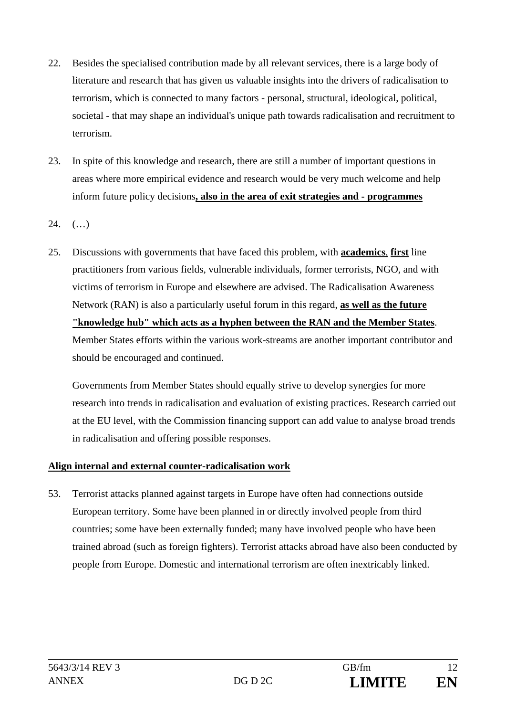- 22. Besides the specialised contribution made by all relevant services, there is a large body of literature and research that has given us valuable insights into the drivers of radicalisation to terrorism, which is connected to many factors - personal, structural, ideological, political, societal - that may shape an individual's unique path towards radicalisation and recruitment to terrorism.
- 23. In spite of this knowledge and research, there are still a number of important questions in areas where more empirical evidence and research would be very much welcome and help inform future policy decisions**, also in the area of exit strategies and - programmes**
- $24.$   $(\ldots)$
- 25. Discussions with governments that have faced this problem, with **academics**, **first** line practitioners from various fields, vulnerable individuals, former terrorists, NGO, and with victims of terrorism in Europe and elsewhere are advised. The Radicalisation Awareness Network (RAN) is also a particularly useful forum in this regard, **as well as the future "knowledge hub" which acts as a hyphen between the RAN and the Member States**. Member States efforts within the various work-streams are another important contributor and should be encouraged and continued.

Governments from Member States should equally strive to develop synergies for more research into trends in radicalisation and evaluation of existing practices. Research carried out at the EU level, with the Commission financing support can add value to analyse broad trends in radicalisation and offering possible responses.

## **Align internal and external counter-radicalisation work**

53. Terrorist attacks planned against targets in Europe have often had connections outside European territory. Some have been planned in or directly involved people from third countries; some have been externally funded; many have involved people who have been trained abroad (such as foreign fighters). Terrorist attacks abroad have also been conducted by people from Europe. Domestic and international terrorism are often inextricably linked.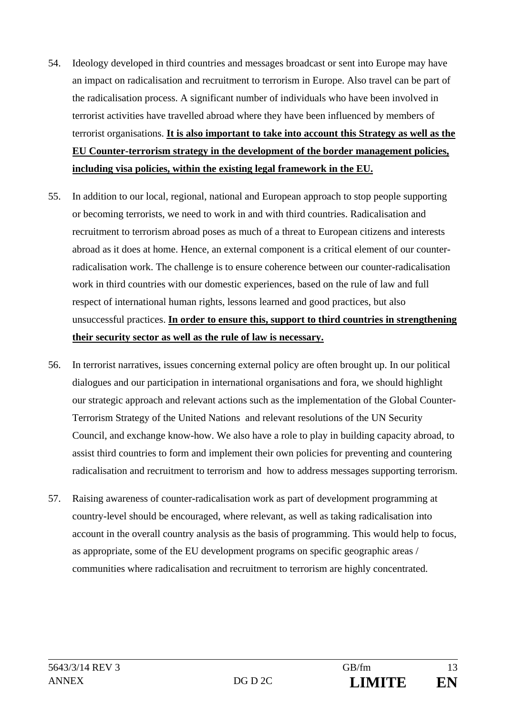- 54. Ideology developed in third countries and messages broadcast or sent into Europe may have an impact on radicalisation and recruitment to terrorism in Europe. Also travel can be part of the radicalisation process. A significant number of individuals who have been involved in terrorist activities have travelled abroad where they have been influenced by members of terrorist organisations. **It is also important to take into account this Strategy as well as the EU Counter-terrorism strategy in the development of the border management policies, including visa policies, within the existing legal framework in the EU.**
- 55. In addition to our local, regional, national and European approach to stop people supporting or becoming terrorists, we need to work in and with third countries. Radicalisation and recruitment to terrorism abroad poses as much of a threat to European citizens and interests abroad as it does at home. Hence, an external component is a critical element of our counterradicalisation work. The challenge is to ensure coherence between our counter-radicalisation work in third countries with our domestic experiences, based on the rule of law and full respect of international human rights, lessons learned and good practices, but also unsuccessful practices. **In order to ensure this, support to third countries in strengthening their security sector as well as the rule of law is necessary.**
- 56. In terrorist narratives, issues concerning external policy are often brought up. In our political dialogues and our participation in international organisations and fora, we should highlight our strategic approach and relevant actions such as the implementation of the Global Counter-Terrorism Strategy of the United Nations and relevant resolutions of the UN Security Council, and exchange know-how. We also have a role to play in building capacity abroad, to assist third countries to form and implement their own policies for preventing and countering radicalisation and recruitment to terrorism and how to address messages supporting terrorism.
- 57. Raising awareness of counter-radicalisation work as part of development programming at country-level should be encouraged, where relevant, as well as taking radicalisation into account in the overall country analysis as the basis of programming. This would help to focus, as appropriate, some of the EU development programs on specific geographic areas / communities where radicalisation and recruitment to terrorism are highly concentrated.